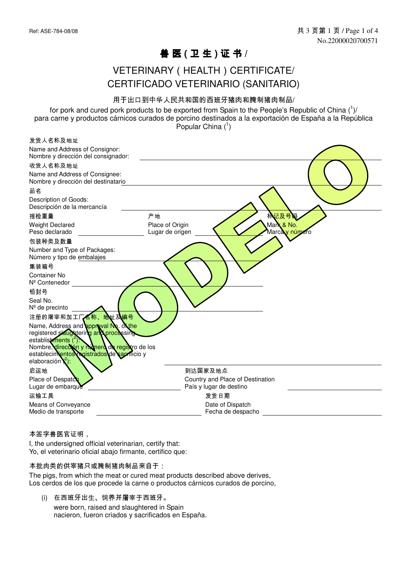## 兽 医 **(** 卫 生 **)** 证 书 **/**

### VETERINARY ( HEALTH ) CERTIFICATE/ CERTIFICADO VETERINARIO (SANITARIO)

#### 用于出口到中华人民共和国的西班牙猪肉和腌制猪肉制品/

for pork and cured pork products to be exported from Spain to the People's Republic of China  $(^1)'$ para carne y productos cárnicos curados de porcino destinados a la exportación de España a la República Popular China  $(1)$ 

| 发货人名称及地址                                                                                                                                                     |                                                                                   |
|--------------------------------------------------------------------------------------------------------------------------------------------------------------|-----------------------------------------------------------------------------------|
| Name and Address of Consignor:<br>Nombre y dirección del consignador:                                                                                        |                                                                                   |
| 收货人名称及地址                                                                                                                                                     |                                                                                   |
| Name and Address of Consignee:<br>Nombre y dirección del destinatario                                                                                        |                                                                                   |
| 品名                                                                                                                                                           |                                                                                   |
| Description of Goods:<br>Descripción de la mercancía                                                                                                         |                                                                                   |
| 报检重量                                                                                                                                                         | 林记及号<br>产地                                                                        |
| <b>Weight Declared</b><br>Peso declarado                                                                                                                     | Mark & No.<br>Place of Origin<br>Lugar de origen<br>Marca <mark>ly núme</mark> ro |
| 包装种类及数量                                                                                                                                                      |                                                                                   |
| Number and Type of Packages:<br>Número y tipo de embalajes                                                                                                   |                                                                                   |
| 集装箱号                                                                                                                                                         |                                                                                   |
| <b>Container No</b><br>Nº Contenedor                                                                                                                         |                                                                                   |
| 铅封号                                                                                                                                                          |                                                                                   |
| Seal No.<br>Nº de precinto                                                                                                                                   |                                                                                   |
| 地址及编号<br>注册的屠宰和加工厂石称、                                                                                                                                        |                                                                                   |
| Name, Address and <b>ppp avai No.</b> olthe<br>registered slaughtering and processing<br>establishments (2)<br>Nombre, dirección y munero de registro de los |                                                                                   |
| establecimientos egistrados de sacrificio y<br>elaboración $\binom{2}{2}$ :                                                                                  |                                                                                   |
| 启运地                                                                                                                                                          | 到达国家及地点                                                                           |
| Place of Despatch                                                                                                                                            | Country and Place of Destination                                                  |
| Lugar de embarque                                                                                                                                            | País y lugar de destino                                                           |
| 运输工具                                                                                                                                                         | 发货日期                                                                              |
| Means of Conveyance<br>Medio de transporte                                                                                                                   | Date of Dispatch<br>Fecha de despacho                                             |

#### 本签字兽医官证明,

I, the undersigned official veterinarian, certify that: Yo, el veterinario oficial abajo firmante, certifico que:

#### 本批肉类的供宰猪只或腌制猪肉制品来自于:

The pigs, from which the meat or cured meat products described above derives, Los cerdos de los que procede la carne o productos cárnicos curados de porcino,

(i) 在西班牙出生、饲养并屠宰于西班牙。 were born, raised and slaughtered in Spain nacieron, fueron criados y sacrificados en España.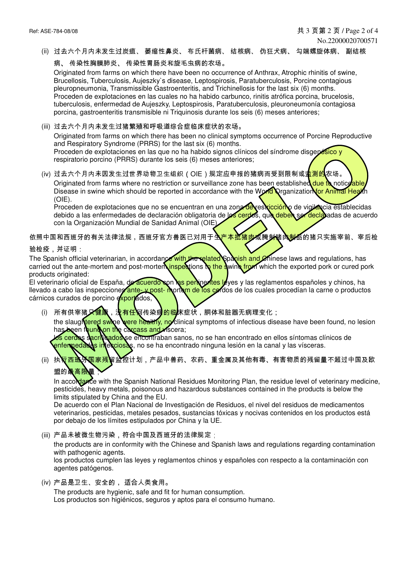(ii) 过去六个月内未发生过炭疽、 萎缩性鼻炎、 布氏杆菌病、 结核病、 伪狂犬病、 勾端螺旋体病、 副结核

病、 传染性胸膜肺炎、 传染性胃肠炎和旋毛虫病的农场。

Originated from farms on which there have been no occurrence of Anthrax, Atrophic rhinitis of swine, Brucellosis, Tuberculosis, Aujeszky`s disease, Leptospirosis, Paratuberculosis, Porcine contagious pleuropneumonia, Transmissible Gastroenteritis, and Trichinellosis for the last six (6) months. Proceden de explotaciones en las cuales no ha habido carbunco, rinitis atrófica porcina, brucelosis, tuberculosis, enfermedad de Aujeszky, Leptospirosis, Paratuberculosis, pleuroneumonía contagiosa porcina, gastroenteritis transmisible ni Triquinosis durante los seis (6) meses anteriores;

(iii) 过去六个月内未发生过猪繁殖和呼吸道综合症临床症状的农场。

Originated from farms on which there has been no clinical symptoms occurrence of Porcine Reproductive and Respiratory Syndrome (PRRS) for the last six (6) months.

Proceden de explotaciones en las que no ha habido signos clínicos del síndrome disgenésico y respiratorio porcino (PRRS) durante los seis (6) meses anteriores;

(iv) 过去六个月内未因发生过世界动物卫生组织(OIE)规定应申报的猪病而受到限制或<mark>监测的</mark>农场。 Originated from farms where no restriction or surveillance zone has been established due to noticeable Disease in swine which should be reported in accordance with the World Organization for Animal Health (OIE).

Proceden de explotaciones que no se encuentran en una zona de restricción o de vigilancia establecidas debido a las enfermedades de declaración obligatoria de los cerdos, que deben ser declaradas de acuerdo con la Organización Mundial de Sanidad Animal (OIE).

依照中国和西班牙的有关法律法规,西班牙官方兽医已对用于**生产本批猪肉或腌制猪肉制品**的猪只实施宰前、宰后检

验检疫,并证明:

The Spanish official veterinarian, in accordance with the related Spanish and Chinese laws and regulations, has carried out the ante-mortem and post-mortem inspections to the swing from which the exported pork or cured pork products originated:

El veterinario oficial de España, de acuerdo con las pertinentes leyes y las reglamentos españoles y chinos, ha llevado a cabo las inspecciones ante- y post- mortem de los cerdos de los cuales procedían la carne o productos cárnicos curados de porcino exportados,

- (i) 所有供宰猪*只*健康,没有任何传染病<mark>的临</mark>床症状,胴体和脏器无病理变化; the slaughtered swine were healthy, no clinical symptoms of infectious disease have been found, no lesion gen found on the carcass and viscera; cerdos sacrificados se encontraban sanos, no se han encontrado en ellos síntomas clínicos de enfermedades infecciosas, no se ha encontrado ninguna lesión en la canal y las vísceras.
- (ii)执<mark>∖可班分国家残</mark>留监控计划,产品中兽药、农药、重金属及其他有毒、有害物质的残留量不超过中国及欧 盟的最高限量

In accordance with the Spanish National Residues Monitoring Plan, the residue level of veterinary medicine, pesticides, heavy metals, poisonous and hazardous substances contained in the products is below the limits stipulated by China and the EU.

De acuerdo con el Plan Nacional de Investigación de Residuos, el nivel del residuos de medicamentos veterinarios, pesticidas, metales pesados, sustancias tóxicas y nocivas contenidos en los productos está por debajo de los límites estipulados por China y la UE.

(iii) 产品未被微生物污染,符合中国及西班牙的法律规定;

the products are in conformity with the Chinese and Spanish laws and regulations regarding contamination with pathogenic agents.

los productos cumplen las leyes y reglamentos chinos y españoles con respecto a la contaminación con agentes patógenos.

(iv) 产品是卫生、安全的, 适合人类食用。

The products are hygienic, safe and fit for human consumption. Los productos son higiénicos, seguros y aptos para el consumo humano.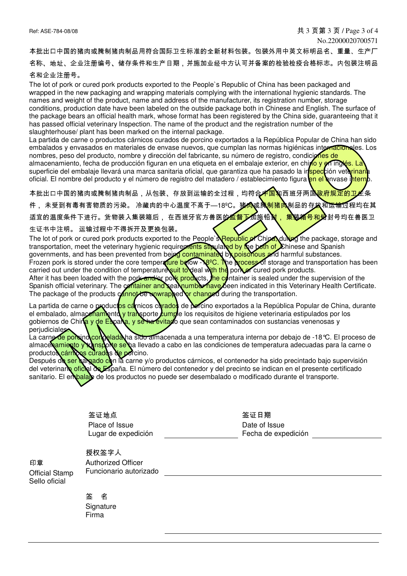No.22000020700571

本批出口中国的猪肉或腌制猪肉制品用符合国际卫生标准的全新材料包装。包装外用中英文标明品名、重量、生产厂

名称、地址、企业注册编号、储存条件和生产日期,并施加业经中方认可并备案的检验检疫合格标志。内包装注明品

#### 名和企业注册号。

The lot of pork or cured pork products exported to the People`s Republic of China has been packaged and wrapped in the new packaging and wrapping materials complying with the international hygienic standards. The names and weight of the product, name and address of the manufacturer, its registration number, storage conditions, production date have been labeled on the outside package both in Chinese and English. The surface of the package bears an official health mark, whose format has been registered by the China side, guaranteeing that it has passed official veterinary Inspection. The name of the product and the registration number of the slaughterhouse/ plant has been marked on the internal package.

La partida de carne o productos cárnicos curados de porcino exportados a la República Popular de China han sido embalados y envasados en materiales de envase nuevos, que cumplan las normas higiénicas internacionales. Los nombres, peso del producto, nombre y dirección del fabricante, su número de registro, condiciones de almacenamiento, fecha de producción figuran en una etiqueta en el embalaje exterior, en chino y en inglés. La superficie del embalaje llevará una marca sanitaria oficial, que garantiza que ha pasado la inspección veterinaria oficial. El nombre del producto y el número de registro del matadero / establecimiento figura en el envase interno.

本批出口中国的猪肉或腌制猪肉制品,从包装、存放到运输的全过程,均符合<mark>中国和</mark>西班牙两国政府规定的卫生条

件, 未受到有毒有害物质的污染。 冷藏肉的中心温度不高于—18ºC。猪<mark>肉</mark>或腌<mark>制猪肉</mark>制品的存放和运输过程均在其

适宜的温度条件下进行。货物装入集装箱后, 在西班牙官方兽医的监督下加施铅**封, 集装箱<mark>号和纳</mark>封号均**在兽医卫

#### 生证书中注明。 运输过程中不得拆开及更换包装。

The lot of pork or cured pork products exported to the People`s Republic of China, during the package, storage and transportation, meet the veterinary hygienic requirements stipulated by the both of Chinese and Spanish governments, and has been prevented from being contaminated by poisonous and harmful substances. Frozen pork is stored under the core temperature below -N8ºC. The process of storage and transportation has been carried out under the condition of temperature suit to deal with the pork or cured pork products. After it has been loaded with the pork and/or pork products, the container is sealed under the supervision of the Spanish official veterinary. The container and seal number have been indicated in this Veterinary Health Certificate. The package of the products cannot be unwrapped or changed during the transportation.

La partida de carne o productos cárnicos curados de porcino exportados a la República Popular de China, durante el embalado, almacenamiento y transporte cumple los requisitos de higiene veterinaria estipulados por los gobiernos de China y de España, y se ha evitado que sean contaminados con sustancias venenosas y perjudiciales.

La carne <mark>de porcino congelada</mark> ha sido almacenada a una temperatura interna por debajo de -18°C. El proceso de almace<mark>namiento y transp</mark>o**rte se h**a llevado a cabo en las condiciones de temperatura adecuadas para la carne o productos cárnicos curados de porcino.

Después de ser cargado con la carne y/o productos cárnicos, el contenedor ha sido precintado bajo supervisión del veterinario oficial de España. El número del contenedor y del precinto se indican en el presente certificado sanitario. El embalaje de los productos no puede ser desembalado o modificado durante el transporte.

> 签证地点 Place of Issue Lugar de expedición

签证日期 Date of Issue Fecha de expedición

印章 Official Stamp Sello oficial

授权签字人 Authorized Officer Funcionario autorizado

签 名 Signature Firma